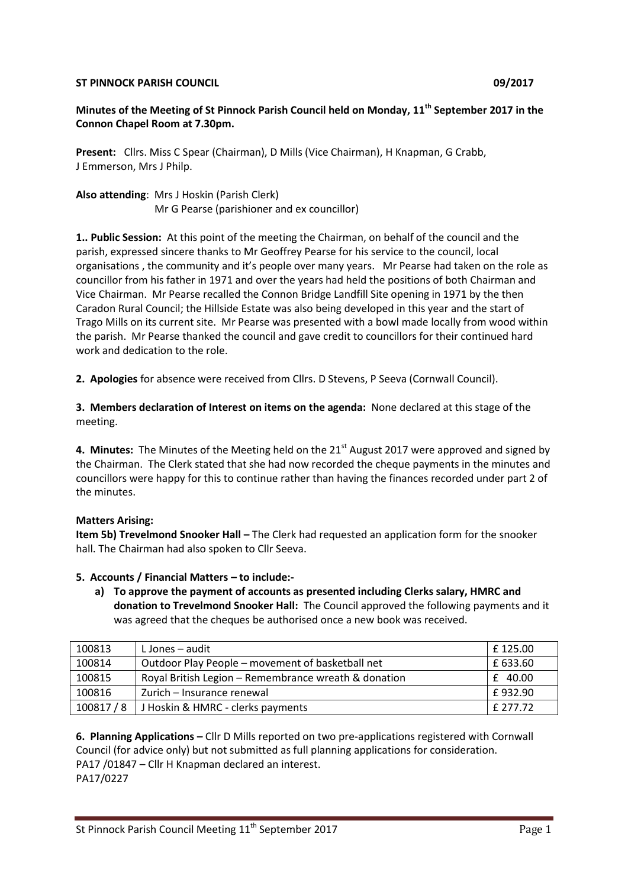#### **ST PINNOCK PARISH COUNCIL COUNCIL COUNCIL COUNCIL COUNCIL COUNCIL COUNCIL**

# **Minutes of the Meeting of St Pinnock Parish Council held on Monday, 11th September 2017 in the Connon Chapel Room at 7.30pm.**

**Present:** Cllrs. Miss C Spear (Chairman), D Mills (Vice Chairman), H Knapman, G Crabb, J Emmerson, Mrs J Philp.

**Also attending**: Mrs J Hoskin (Parish Clerk) Mr G Pearse (parishioner and ex councillor)

**1.. Public Session:** At this point of the meeting the Chairman, on behalf of the council and the parish, expressed sincere thanks to Mr Geoffrey Pearse for his service to the council, local organisations , the community and it's people over many years. Mr Pearse had taken on the role as councillor from his father in 1971 and over the years had held the positions of both Chairman and Vice Chairman. Mr Pearse recalled the Connon Bridge Landfill Site opening in 1971 by the then Caradon Rural Council; the Hillside Estate was also being developed in this year and the start of Trago Mills on its current site. Mr Pearse was presented with a bowl made locally from wood within the parish. Mr Pearse thanked the council and gave credit to councillors for their continued hard work and dedication to the role.

**2. Apologies** for absence were received from Cllrs. D Stevens, P Seeva (Cornwall Council).

**3. Members declaration of Interest on items on the agenda:** None declared at this stage of the meeting.

4. Minutes: The Minutes of the Meeting held on the 21<sup>st</sup> August 2017 were approved and signed by the Chairman. The Clerk stated that she had now recorded the cheque payments in the minutes and councillors were happy for this to continue rather than having the finances recorded under part 2 of the minutes.

#### **Matters Arising:**

**Item 5b) Trevelmond Snooker Hall –** The Clerk had requested an application form for the snooker hall. The Chairman had also spoken to Cllr Seeva.

- **5. Accounts / Financial Matters – to include:**
	- **a) To approve the payment of accounts as presented including Clerks salary, HMRC and donation to Trevelmond Snooker Hall:** The Council approved the following payments and it was agreed that the cheques be authorised once a new book was received.

| 100813   | L Jones – audit                                      | L£ 125.00 |
|----------|------------------------------------------------------|-----------|
| 100814   | Outdoor Play People – movement of basketball net     | £ 633.60  |
| 100815   | Royal British Legion - Remembrance wreath & donation | $£$ 40.00 |
| 100816   | Zurich – Insurance renewal                           | £932.90   |
| 100817/8 | J Hoskin & HMRC - clerks payments                    | f 277.72  |

**6. Planning Applications –** Cllr D Mills reported on two pre-applications registered with Cornwall Council (for advice only) but not submitted as full planning applications for consideration. PA17 /01847 – Cllr H Knapman declared an interest. PA17/0227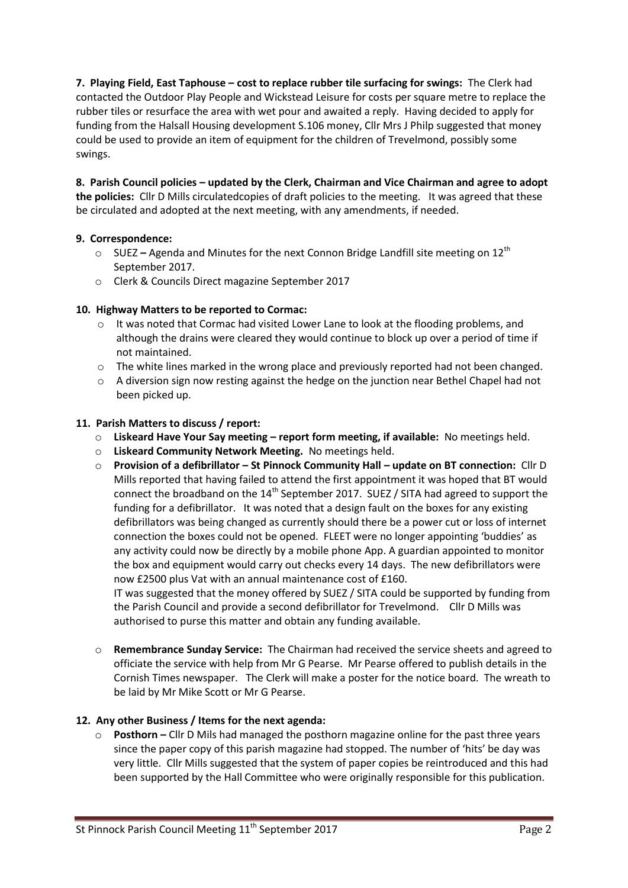**7. Playing Field, East Taphouse – cost to replace rubber tile surfacing for swings:** The Clerk had contacted the Outdoor Play People and Wickstead Leisure for costs per square metre to replace the rubber tiles or resurface the area with wet pour and awaited a reply. Having decided to apply for funding from the Halsall Housing development S.106 money, Cllr Mrs J Philp suggested that money could be used to provide an item of equipment for the children of Trevelmond, possibly some swings.

**8. Parish Council policies – updated by the Clerk, Chairman and Vice Chairman and agree to adopt the policies:** Cllr D Mills circulatedcopies of draft policies to the meeting. It was agreed that these be circulated and adopted at the next meeting, with any amendments, if needed.

## **9. Correspondence:**

- o SUEZ **–** Agenda and Minutes for the next Connon Bridge Landfill site meeting on 12th September 2017.
- o Clerk & Councils Direct magazine September 2017

# **10. Highway Matters to be reported to Cormac:**

- o It was noted that Cormac had visited Lower Lane to look at the flooding problems, and although the drains were cleared they would continue to block up over a period of time if not maintained.
- $\circ$  The white lines marked in the wrong place and previously reported had not been changed.
- o A diversion sign now resting against the hedge on the junction near Bethel Chapel had not been picked up.

## **11. Parish Matters to discuss / report:**

- o **Liskeard Have Your Say meeting – report form meeting, if available:** No meetings held.
- o **Liskeard Community Network Meeting.** No meetings held.
- o **Provision of a defibrillator – St Pinnock Community Hall – update on BT connection:** Cllr D Mills reported that having failed to attend the first appointment it was hoped that BT would connect the broadband on the  $14^{th}$  September 2017. SUEZ / SITA had agreed to support the funding for a defibrillator. It was noted that a design fault on the boxes for any existing defibrillators was being changed as currently should there be a power cut or loss of internet connection the boxes could not be opened. FLEET were no longer appointing 'buddies' as any activity could now be directly by a mobile phone App. A guardian appointed to monitor the box and equipment would carry out checks every 14 days. The new defibrillators were now £2500 plus Vat with an annual maintenance cost of £160.

IT was suggested that the money offered by SUEZ / SITA could be supported by funding from the Parish Council and provide a second defibrillator for Trevelmond. Cllr D Mills was authorised to purse this matter and obtain any funding available.

o **Remembrance Sunday Service:** The Chairman had received the service sheets and agreed to officiate the service with help from Mr G Pearse. Mr Pearse offered to publish details in the Cornish Times newspaper. The Clerk will make a poster for the notice board. The wreath to be laid by Mr Mike Scott or Mr G Pearse.

## **12. Any other Business / Items for the next agenda:**

o **Posthorn –** Cllr D Mils had managed the posthorn magazine online for the past three years since the paper copy of this parish magazine had stopped. The number of 'hits' be day was very little. Cllr Mills suggested that the system of paper copies be reintroduced and this had been supported by the Hall Committee who were originally responsible for this publication.